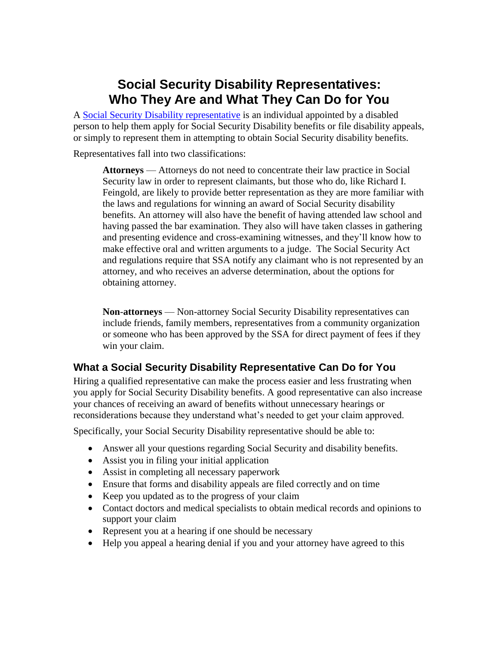## **Social Security Disability Representatives: Who They Are and What They Can Do for You**

A Social Security [Disability representative](http://www.usadisabilitylaw.com/disability-lawyers-illinois) is an individual appointed by a disabled person to help them apply for Social Security Disability benefits or file disability appeals, or simply to represent them in attempting to obtain Social Security disability benefits.

Representatives fall into two classifications:

**Attorneys** — Attorneys do not need to concentrate their law practice in Social Security law in order to represent claimants, but those who do, like Richard I. Feingold, are likely to provide better representation as they are more familiar with the laws and regulations for winning an award of Social Security disability benefits. An attorney will also have the benefit of having attended law school and having passed the bar examination. They also will have taken classes in gathering and presenting evidence and cross-examining witnesses, and they'll know how to make effective oral and written arguments to a judge. The Social Security Act and regulations require that SSA notify any claimant who is not represented by an attorney, and who receives an adverse determination, about the options for obtaining attorney.

**Non**-**attorneys** — Non-attorney Social Security Disability representatives can include friends, family members, representatives from a community organization or someone who has been approved by the SSA for direct payment of fees if they win your claim.

## **What a Social Security Disability Representative Can Do for You**

Hiring a qualified representative can make the process easier and less frustrating when you apply for Social Security Disability benefits. A good representative can also increase your chances of receiving an award of benefits without unnecessary hearings or reconsiderations because they understand what's needed to get your claim approved.

Specifically, your Social Security Disability representative should be able to:

- Answer all your questions regarding Social Security and disability benefits.
- Assist you in filing your initial application
- Assist in completing all necessary paperwork
- Ensure that forms and disability appeals are filed correctly and on time
- Keep you updated as to the progress of your claim
- Contact doctors and medical specialists to obtain medical records and opinions to support your claim
- Represent you at a hearing if one should be necessary
- Help you appeal a hearing denial if you and your attorney have agreed to this